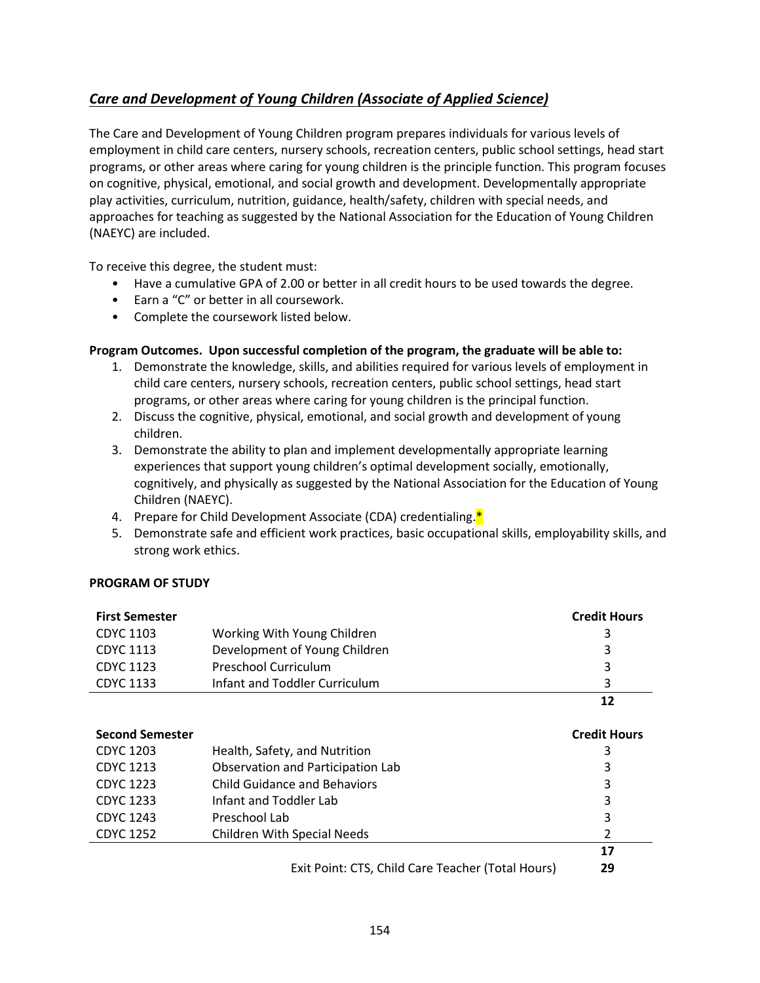## <span id="page-0-0"></span>*[Care and Development of Young Children \(Associate of Applied Science\)](#page-0-0)*

The Care and Development of Young Children program prepares individuals for various levels of employment in child care centers, nursery schools, recreation centers, public school settings, head start programs, or other areas where caring for young children is the principle function. This program focuses on cognitive, physical, emotional, and social growth and development. Developmentally appropriate play activities, curriculum, nutrition, guidance, health/safety, children with special needs, and approaches for teaching as suggested by the National Association for the Education of Young Children (NAEYC) are included.

To receive this degree, the student must:

- Have a cumulative GPA of 2.00 or better in all credit hours to be used towards the degree.
- Earn a "C" or better in all coursework.
- Complete the coursework listed below.

## **Program Outcomes. Upon successful completion of the program, the graduate will be able to:**

- 1. Demonstrate the knowledge, skills, and abilities required for various levels of employment in child care centers, nursery schools, recreation centers, public school settings, head start programs, or other areas where caring for young children is the principal function.
- 2. Discuss the cognitive, physical, emotional, and social growth and development of young children.
- 3. Demonstrate the ability to plan and implement developmentally appropriate learning experiences that support young children's optimal development socially, emotionally, cognitively, and physically as suggested by the National Association for the Education of Young Children (NAEYC).
- 4. Prepare for Child Development Associate (CDA) credentialing.<sup>\*</sup>
- 5. Demonstrate safe and efficient work practices, basic occupational skills, employability skills, and strong work ethics.

## **PROGRAM OF STUDY**

| <b>First Semester</b>  |                                                   | <b>Credit Hours</b> |
|------------------------|---------------------------------------------------|---------------------|
| CDYC 1103              | Working With Young Children                       | 3                   |
| <b>CDYC 1113</b>       | Development of Young Children                     | 3                   |
| <b>CDYC 1123</b>       | Preschool Curriculum                              | 3                   |
| <b>CDYC 1133</b>       | Infant and Toddler Curriculum                     | 3                   |
|                        |                                                   | 12                  |
| <b>Second Semester</b> |                                                   | <b>Credit Hours</b> |
| CDYC 1203              | Health, Safety, and Nutrition                     | 3                   |
| CDYC 1213              | Observation and Participation Lab                 | 3                   |
| <b>CDYC 1223</b>       | <b>Child Guidance and Behaviors</b>               | 3                   |
| CDYC 1233              | Infant and Toddler Lab                            | 3                   |
| <b>CDYC 1243</b>       | Preschool Lab                                     | 3                   |
| <b>CDYC 1252</b>       | <b>Children With Special Needs</b>                | 2                   |
|                        |                                                   | 17                  |
|                        | Exit Point: CTS, Child Care Teacher (Total Hours) | 29                  |